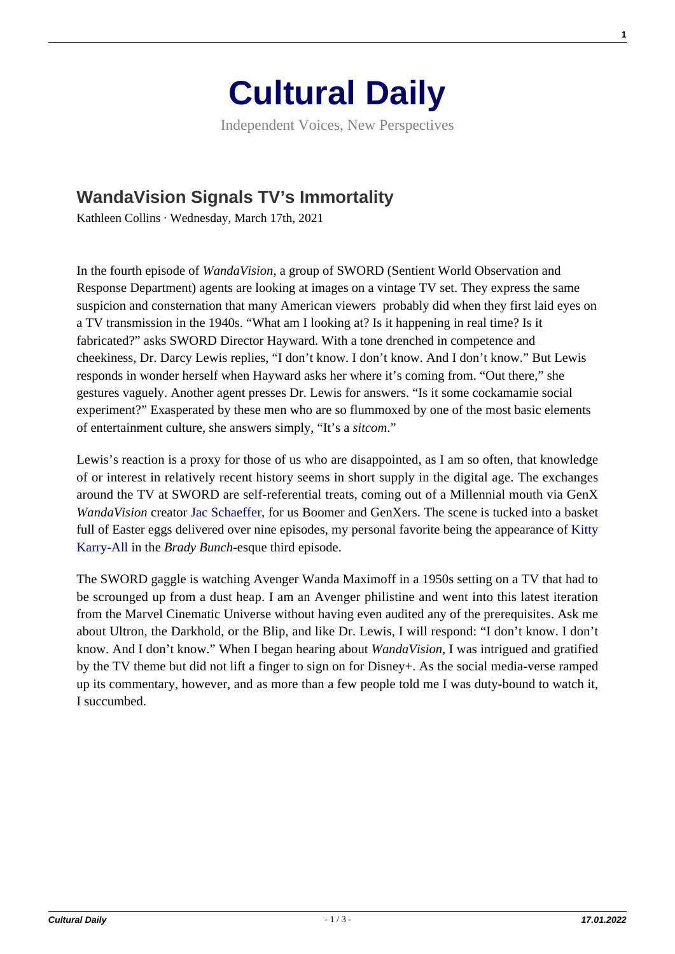

Independent Voices, New Perspectives

## **[WandaVision Signals TV's Immortality](https://culturaldaily.com/wandavision-signals-tvs-immortality/)**

Kathleen Collins · Wednesday, March 17th, 2021

In the fourth episode of *WandaVision*, a group of SWORD (Sentient World Observation and Response Department) agents are looking at images on a vintage TV set. They express the same suspicion and consternation that many American viewers probably did when they first laid eyes on a TV transmission in the 1940s. "What am I looking at? Is it happening in real time? Is it fabricated?" asks SWORD Director Hayward. With a tone drenched in competence and cheekiness, Dr. Darcy Lewis replies, "I don't know. I don't know. And I don't know." But Lewis responds in wonder herself when Hayward asks her where it's coming from. "Out there," she gestures vaguely. Another agent presses Dr. Lewis for answers. "Is it some cockamamie social experiment?" Exasperated by these men who are so flummoxed by one of the most basic elements of entertainment culture, she answers simply, "It's a *sitcom*."

Lewis's reaction is a proxy for those of us who are disappointed, as I am so often, that knowledge of or interest in relatively recent history seems in short supply in the digital age. The exchanges around the TV at SWORD are self-referential treats, coming out of a Millennial mouth via GenX *WandaVision* creator [Jac Schaeffer, f](https://en.wikipedia.org/wiki/Jac_Schaeffer)or us Boomer and GenXers. The scene is tucked into a basket full of Easter eggs delivered over nine episodes, my personal favorite being the appearance of [Kitty](https://bradybunchreviewed.wordpress.com/2016/10/14/episode-7-kitty-karry-all-is-missing/) [Karry-All](https://bradybunchreviewed.wordpress.com/2016/10/14/episode-7-kitty-karry-all-is-missing/) in the *Brady Bunch*-esque third episode.

The SWORD gaggle is watching Avenger Wanda Maximoff in a 1950s setting on a TV that had to be scrounged up from a dust heap. I am an Avenger philistine and went into this latest iteration from the Marvel Cinematic Universe without having even audited any of the prerequisites. Ask me about Ultron, the Darkhold, or the Blip, and like Dr. Lewis, I will respond: "I don't know. I don't know. And I don't know." When I began hearing about *WandaVision,* I was intrigued and gratified by the TV theme but did not lift a finger to sign on for Disney+. As the social media-verse ramped up its commentary, however, and as more than a few people told me I was duty-bound to watch it, I succumbed.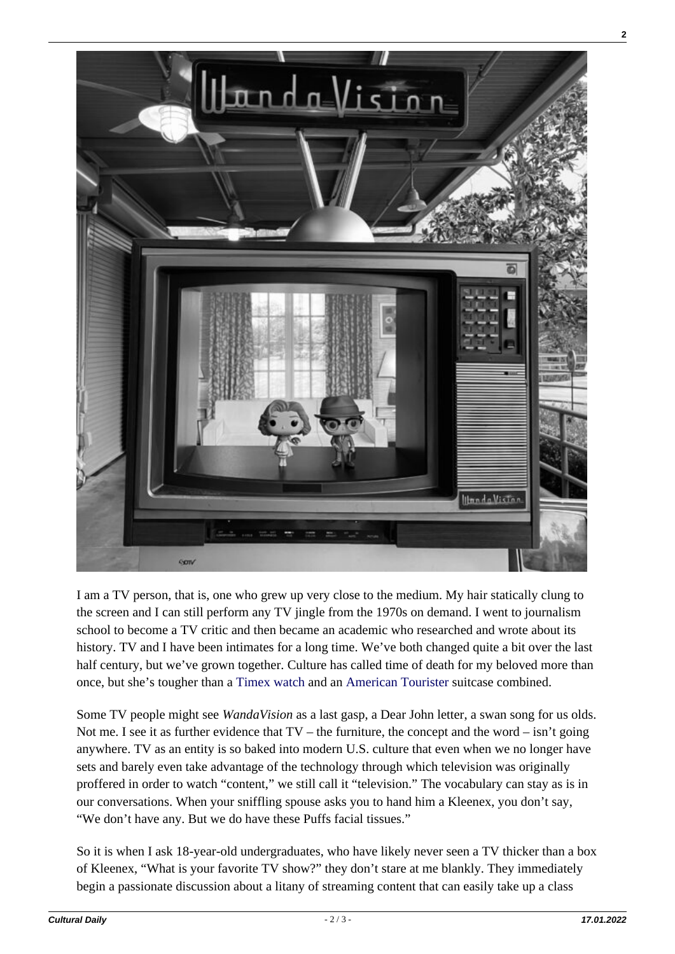

I am a TV person, that is, one who grew up very close to the medium. My hair statically clung to the screen and I can still perform any TV jingle from the 1970s on demand. I went to journalism school to become a TV critic and then became an academic who researched and wrote about its history. TV and I have been intimates for a long time. We've both changed quite a bit over the last half century, but we've grown together. Culture has called time of death for my beloved more than once, but she's tougher than a [Timex watch](https://www.youtube.com/watch?v=6EK9KWHjvfM) and an [American Tourister](https://www.youtube.com/watch?v=Q5sEIWlQO7A) suitcase combined.

Some TV people might see *WandaVision* as a last gasp, a Dear John letter, a swan song for us olds. Not me. I see it as further evidence that  $TV$  – the furniture, the concept and the word – isn't going anywhere. TV as an entity is so baked into modern U.S. culture that even when we no longer have sets and barely even take advantage of the technology through which television was originally proffered in order to watch "content," we still call it "television." The vocabulary can stay as is in our conversations. When your sniffling spouse asks you to hand him a Kleenex, you don't say, "We don't have any. But we do have these Puffs facial tissues."

So it is when I ask 18-year-old undergraduates, who have likely never seen a TV thicker than a box of Kleenex, "What is your favorite TV show?" they don't stare at me blankly. They immediately begin a passionate discussion about a litany of streaming content that can easily take up a class

**2**